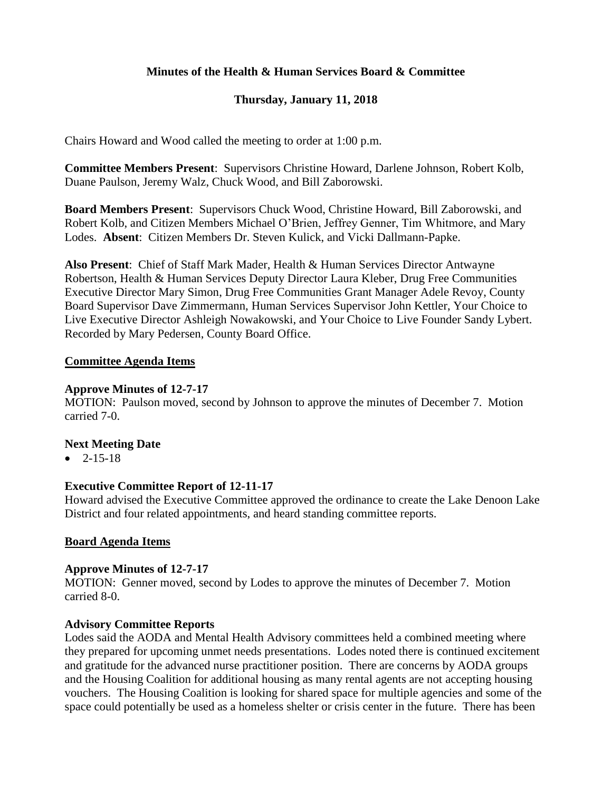# **Minutes of the Health & Human Services Board & Committee**

# **Thursday, January 11, 2018**

Chairs Howard and Wood called the meeting to order at 1:00 p.m.

**Committee Members Present**: Supervisors Christine Howard, Darlene Johnson, Robert Kolb, Duane Paulson, Jeremy Walz, Chuck Wood, and Bill Zaborowski.

**Board Members Present**: Supervisors Chuck Wood, Christine Howard, Bill Zaborowski, and Robert Kolb, and Citizen Members Michael O'Brien, Jeffrey Genner, Tim Whitmore, and Mary Lodes. **Absent**: Citizen Members Dr. Steven Kulick, and Vicki Dallmann-Papke.

**Also Present**: Chief of Staff Mark Mader, Health & Human Services Director Antwayne Robertson, Health & Human Services Deputy Director Laura Kleber, Drug Free Communities Executive Director Mary Simon, Drug Free Communities Grant Manager Adele Revoy, County Board Supervisor Dave Zimmermann, Human Services Supervisor John Kettler, Your Choice to Live Executive Director Ashleigh Nowakowski, and Your Choice to Live Founder Sandy Lybert. Recorded by Mary Pedersen, County Board Office.

#### **Committee Agenda Items**

### **Approve Minutes of 12-7-17**

MOTION: Paulson moved, second by Johnson to approve the minutes of December 7. Motion carried 7-0.

#### **Next Meeting Date**

 $-2 - 15 - 18$ 

## **Executive Committee Report of 12-11-17**

Howard advised the Executive Committee approved the ordinance to create the Lake Denoon Lake District and four related appointments, and heard standing committee reports.

#### **Board Agenda Items**

#### **Approve Minutes of 12-7-17**

MOTION: Genner moved, second by Lodes to approve the minutes of December 7. Motion carried 8-0.

#### **Advisory Committee Reports**

Lodes said the AODA and Mental Health Advisory committees held a combined meeting where they prepared for upcoming unmet needs presentations. Lodes noted there is continued excitement and gratitude for the advanced nurse practitioner position. There are concerns by AODA groups and the Housing Coalition for additional housing as many rental agents are not accepting housing vouchers. The Housing Coalition is looking for shared space for multiple agencies and some of the space could potentially be used as a homeless shelter or crisis center in the future. There has been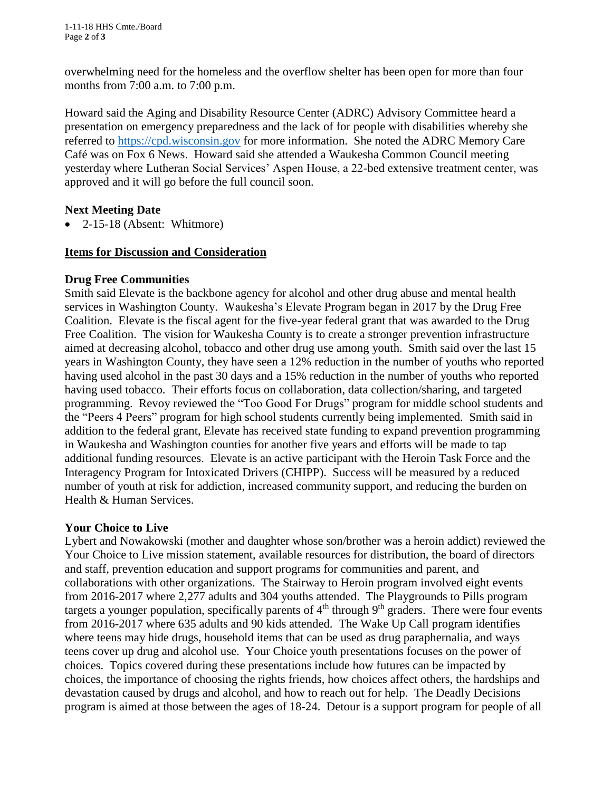1-11-18 HHS Cmte./Board Page **2** of **3**

overwhelming need for the homeless and the overflow shelter has been open for more than four months from 7:00 a.m. to 7:00 p.m.

Howard said the Aging and Disability Resource Center (ADRC) Advisory Committee heard a presentation on emergency preparedness and the lack of for people with disabilities whereby she referred to [https://cpd.wisconsin.gov](https://cpd.wisconsin.gov/) for more information. She noted the ADRC Memory Care Café was on Fox 6 News. Howard said she attended a Waukesha Common Council meeting yesterday where Lutheran Social Services' Aspen House, a 22-bed extensive treatment center, was approved and it will go before the full council soon.

## **Next Meeting Date**

• 2-15-18 (Absent: Whitmore)

### **Items for Discussion and Consideration**

#### **Drug Free Communities**

Smith said Elevate is the backbone agency for alcohol and other drug abuse and mental health services in Washington County. Waukesha's Elevate Program began in 2017 by the Drug Free Coalition. Elevate is the fiscal agent for the five-year federal grant that was awarded to the Drug Free Coalition. The vision for Waukesha County is to create a stronger prevention infrastructure aimed at decreasing alcohol, tobacco and other drug use among youth. Smith said over the last 15 years in Washington County, they have seen a 12% reduction in the number of youths who reported having used alcohol in the past 30 days and a 15% reduction in the number of youths who reported having used tobacco. Their efforts focus on collaboration, data collection/sharing, and targeted programming. Revoy reviewed the "Too Good For Drugs" program for middle school students and the "Peers 4 Peers" program for high school students currently being implemented. Smith said in addition to the federal grant, Elevate has received state funding to expand prevention programming in Waukesha and Washington counties for another five years and efforts will be made to tap additional funding resources. Elevate is an active participant with the Heroin Task Force and the Interagency Program for Intoxicated Drivers (CHIPP). Success will be measured by a reduced number of youth at risk for addiction, increased community support, and reducing the burden on Health & Human Services.

## **Your Choice to Live**

Lybert and Nowakowski (mother and daughter whose son/brother was a heroin addict) reviewed the Your Choice to Live mission statement, available resources for distribution, the board of directors and staff, prevention education and support programs for communities and parent, and collaborations with other organizations. The Stairway to Heroin program involved eight events from 2016-2017 where 2,277 adults and 304 youths attended. The Playgrounds to Pills program targets a younger population, specifically parents of  $4<sup>th</sup>$  through  $9<sup>th</sup>$  graders. There were four events from 2016-2017 where 635 adults and 90 kids attended. The Wake Up Call program identifies where teens may hide drugs, household items that can be used as drug paraphernalia, and ways teens cover up drug and alcohol use. Your Choice youth presentations focuses on the power of choices. Topics covered during these presentations include how futures can be impacted by choices, the importance of choosing the rights friends, how choices affect others, the hardships and devastation caused by drugs and alcohol, and how to reach out for help. The Deadly Decisions program is aimed at those between the ages of 18-24. Detour is a support program for people of all